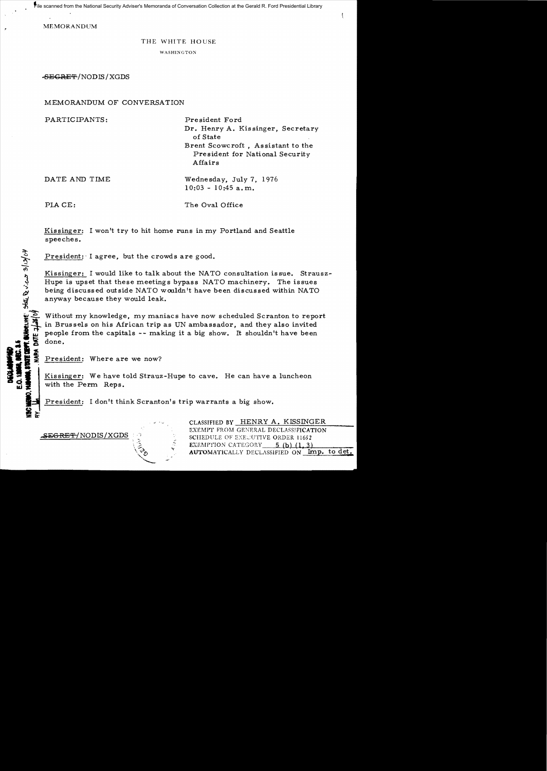• File scanned from the National Security Adviser's Memoranda of Conversation Collection at the Gerald R. Ford Presidential Library

MEMORANDUM

## THE WHITE HOUSE

WASHINGTON

SECRE'f/NODIS/XGDS

MEMORANDUM OF CONVERSATION

PARTICIPANTS:

President Ford Dr. Henry A. Kissinger, Secretary of State

Brent Scowcroft , Assistant to the President for National Security Affairs

DATE AND TIME

 $10:03 - 10:45$  a.m.

Wednesday, July 7. 1976

PLA CE:

IoU

NARA.

0.1**2005.**<br>Mark Stor<br>**Andre** Jo

CHANGE

 $\sum_{i=1}^n a_i$ 

—<br>™ ∗

**CONTRACTOR** 

The Oval Office

Kissinger: I won't try to hit home runs in my Portland and Seattle speeches.

President: I agree, but the crowds are good.

Kissinger: I would like to talk about the NATO consultation is sue. Strausz-Hupe is upset that these meetings bypass NATO machinery. The issues being discussed outside NATO wouldn't have been discussed within NATO anyway because they would leak.

~~<br>~~ Without my knowledge, my maniacs have now scheduled Scranton to report in Brussels on his African trip as UN ambassador, and they also invited BA, BEC. 3.5<br>ITARE BEPT, GUNDEL<br>... MARA, DATE -7/ people from the capitals -- making it a big show. It shouldn't have been done.

President: Where are we now?

Kissinger: We have told Strauz-Hupe to cave. He can have a luncheon with the Perm Reps.

> " .'

President: I don't think Scranton's trip warrants a big show.

CLASSIFIED BY HENRY A. KISSINGER EXEMPT FROM GENERAL DECLASSIFICATION SCHEDULE OF EXECUTIVE ORDER 11652 EXEMPTION CATEGORY  $5$  (b) (1,3) AUTOMATICALLY DECLASSIFIED ON Imp. to det.

 $-$ SEGRET/NODIS/XGDS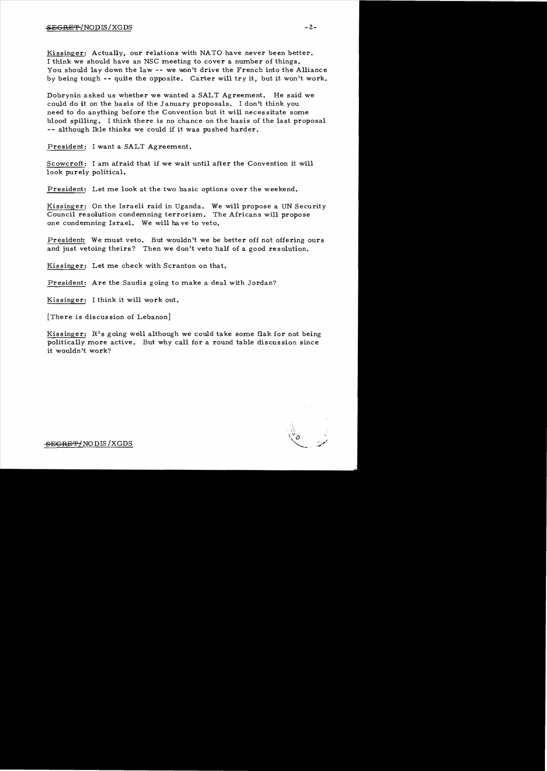## $SEGREF/NODIS/XGDS$  -2-

Kissinger: Actually, our relations with NATO have never been better. I think we should have an NSC meeting to cover a number of things. You should lay down the law -- we won't drive the French into the Alliance by being tough **--** quite the opposite. Carter will try it, but it won't work.

Dobrynin asked us whether we wanted a SALT Agreement. He said we could do it on the basis of the January proposals. I don't think you need to do anything before the Convention but it will necessitate some blood spilling. I think there is no chance on the basis of the last proposal -- although Ikle thinks we could if it was pushed harder.

President: I want a SALT Agreement.

Scowcroft: I am afraid that if we wait until after the Convention it will look purely political.

President: Let me look at the two basic options over the weekend.

Kissinger: On the Israeli raid in Uganda. We will propose a UN Security Council resolution condemning terrorism. The Africans will propose one condemning Israel. We will ha ve to *veto.* 

President: We must *veto.* But wouldn't we be better off not offering ours and just vetoing theirs? Then we don't veto half of a good resolution.

Kissinger: Let me check with Scranton on that.

President: Are the Saudis going to make a deal with Jordan?

Kissinger: I think it will work out.

[There is discus sion of Lebanon]

Kissinger: It's going well although we could take some flak for not being politically more active. But why call for a round table discussion since it wouldn't work?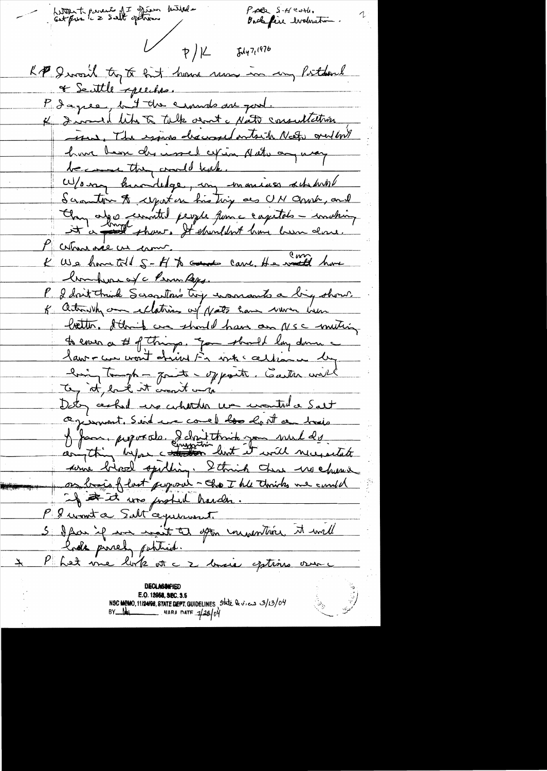Letter to prevent of I spear butted  $P$  ale  $S$ - $H$  early. Backfire errolenation.  $\frac{1}{2}$  $5447(976)$ KP I would try to hit home sen in my Postdard & Seattle speeches. P dagree, but the crowns are good. K I served like talk and a Nato consultation The exame descovered ontails Need over 100% have been des insel cepin Naturan may Scranton & cypation his ting as UM anosh, and Chan algo cermited people from a capitales - involving P commande un comme.<br>K We have told 5 - H to comme came. He wanted have homburned c Perron Regg. P. I don't trink Scraptor's try encorrants a big show. of action why are ellations of Notes have work hem botto, I think are should have an NSC muting to enso a # of things, gon should lay down a lawren won't chink in where when we lingtomph - quite ypoint. Caster with Dety central use cularter un montril a Salt agisment. Sind we comed too lost a train J fame proposats. I dont think you weld es <u>some birsel spirling. I think that we church</u> or bries flast proposai - The The thirts we could P & wont a Salt agreement. 5 dean if me moit à spon imperitive. It will Phot me lork et c 2 maie eptions our  $\overline{\mathcal{X}}$  . E.O. 12058, SEC. 3.5<br>NSC MEMO, 11/24/98, STATE DEPT. GUIDELINES State levices 3/13/04<br>BY NARA DATE 1/28/04  $\begin{pmatrix} 1 & 1 \\ 1 & 1 \end{pmatrix}$